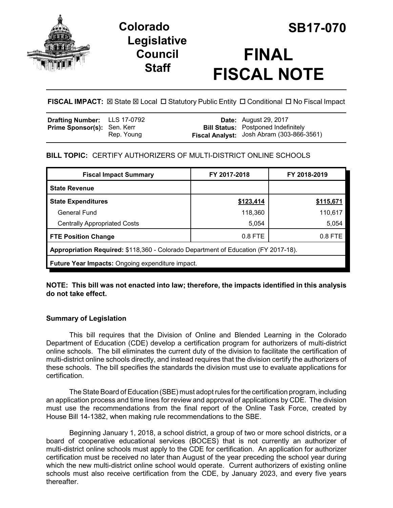

# **Legislative Council Staff**



# **FINAL FISCAL NOTE**

**FISCAL IMPACT:** ⊠ State ⊠ Local □ Statutory Public Entity □ Conditional □ No Fiscal Impact

| <b>Drafting Number:</b> LLS 17-0792 |            | <b>Date:</b> August 29, 2017               |
|-------------------------------------|------------|--------------------------------------------|
| <b>Prime Sponsor(s): Sen. Kerr</b>  |            | <b>Bill Status:</b> Postponed Indefinitely |
|                                     | Rep. Young | Fiscal Analyst: Josh Abram (303-866-3561)  |

# **BILL TOPIC:** CERTIFY AUTHORIZERS OF MULTI-DISTRICT ONLINE SCHOOLS

| <b>Fiscal Impact Summary</b>                                                       | FY 2017-2018 | FY 2018-2019 |  |  |  |
|------------------------------------------------------------------------------------|--------------|--------------|--|--|--|
| <b>State Revenue</b>                                                               |              |              |  |  |  |
| <b>State Expenditures</b>                                                          | \$123,414    | \$115,671    |  |  |  |
| <b>General Fund</b>                                                                | 118,360      | 110,617      |  |  |  |
| <b>Centrally Appropriated Costs</b>                                                | 5,054        | 5,054        |  |  |  |
| <b>FTE Position Change</b>                                                         | $0.8$ FTE    | $0.8$ FTE    |  |  |  |
| Appropriation Required: \$118,360 - Colorado Department of Education (FY 2017-18). |              |              |  |  |  |
| <b>Future Year Impacts: Ongoing expenditure impact.</b>                            |              |              |  |  |  |

### **NOTE: This bill was not enacted into law; therefore, the impacts identified in this analysis do not take effect.**

### **Summary of Legislation**

This bill requires that the Division of Online and Blended Learning in the Colorado Department of Education (CDE) develop a certification program for authorizers of multi-district online schools. The bill eliminates the current duty of the division to facilitate the certification of multi-district online schools directly, and instead requires that the division certify the authorizers of these schools. The bill specifies the standards the division must use to evaluate applications for certification.

The State Board of Education (SBE) must adopt rules for the certification program, including an application process and time lines for review and approval of applications by CDE. The division must use the recommendations from the final report of the Online Task Force, created by House Bill 14-1382, when making rule recommendations to the SBE.

Beginning January 1, 2018, a school district, a group of two or more school districts, or a board of cooperative educational services (BOCES) that is not currently an authorizer of multi-district online schools must apply to the CDE for certification. An application for authorizer certification must be received no later than August of the year preceding the school year during which the new multi-district online school would operate. Current authorizers of existing online schools must also receive certification from the CDE, by January 2023, and every five years thereafter.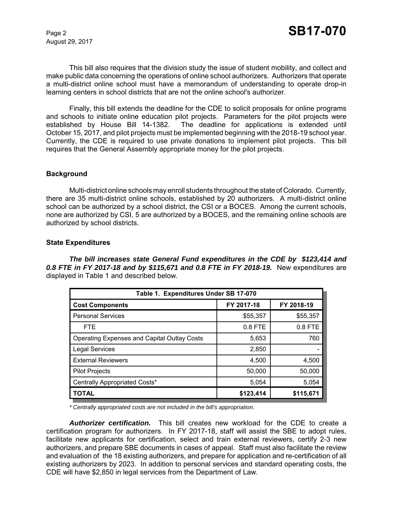August 29, 2017

This bill also requires that the division study the issue of student mobility, and collect and make public data concerning the operations of online school authorizers. Authorizers that operate a multi-district online school must have a memorandum of understanding to operate drop-in learning centers in school districts that are not the online school's authorizer.

Finally, this bill extends the deadline for the CDE to solicit proposals for online programs and schools to initiate online education pilot projects. Parameters for the pilot projects were established by House Bill 14-1382. The deadline for applications is extended until October 15, 2017, and pilot projects must be implemented beginning with the 2018-19 school year. Currently, the CDE is required to use private donations to implement pilot projects. This bill requires that the General Assembly appropriate money for the pilot projects.

#### **Background**

Multi-district online schools may enroll students throughout the state of Colorado. Currently, there are 35 multi-district online schools, established by 20 authorizers. A multi-district online school can be authorized by a school district, the CSI or a BOCES. Among the current schools, none are authorized by CSI, 5 are authorized by a BOCES, and the remaining online schools are authorized by school districts.

#### **State Expenditures**

*The bill increases state General Fund expenditures in the CDE by \$123,414 and 0.8 FTE in FY 2017-18 and by \$115,671 and 0.8 FTE in FY 2018-19.* New expenditures are displayed in Table 1 and described below.

| Table 1. Expenditures Under SB 17-070              |            |            |  |  |  |  |
|----------------------------------------------------|------------|------------|--|--|--|--|
| <b>Cost Components</b>                             | FY 2017-18 | FY 2018-19 |  |  |  |  |
| <b>Personal Services</b>                           | \$55,357   | \$55,357   |  |  |  |  |
| <b>FTE</b>                                         | $0.8$ FTE  | 0.8 FTE    |  |  |  |  |
| <b>Operating Expenses and Capital Outlay Costs</b> | 5,653      | 760        |  |  |  |  |
| <b>Legal Services</b>                              | 2,850      |            |  |  |  |  |
| <b>External Reviewers</b>                          | 4,500      | 4,500      |  |  |  |  |
| <b>Pilot Projects</b>                              | 50,000     | 50,000     |  |  |  |  |
| Centrally Appropriated Costs*                      | 5,054      | 5,054      |  |  |  |  |
| <b>TOTAL</b>                                       | \$123,414  | \$115,671  |  |  |  |  |

*\* Centrally appropriated costs are not included in the bill's appropriation.*

*Authorizer certification.* This bill creates new workload for the CDE to create a certification program for authorizers. In FY 2017-18, staff will assist the SBE to adopt rules, facilitate new applicants for certification, select and train external reviewers, certify 2-3 new authorizers, and prepare SBE documents in cases of appeal. Staff must also facilitate the review and evaluation of the 18 existing authorizers, and prepare for application and re-certification of all existing authorizers by 2023. In addition to personal services and standard operating costs, the CDE will have \$2,850 in legal services from the Department of Law.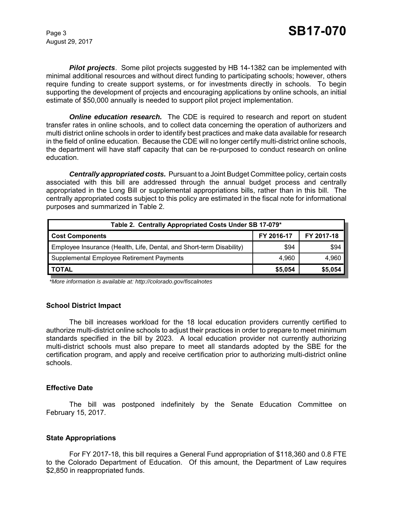August 29, 2017

*Pilot projects*. Some pilot projects suggested by HB 14-1382 can be implemented with minimal additional resources and without direct funding to participating schools; however, others require funding to create support systems, or for investments directly in schools. To begin supporting the development of projects and encouraging applications by online schools, an initial estimate of \$50,000 annually is needed to support pilot project implementation.

*Online education research.* The CDE is required to research and report on student transfer rates in online schools, and to collect data concerning the operation of authorizers and multi district online schools in order to identify best practices and make data available for research in the field of online education. Because the CDE will no longer certify multi-district online schools, the department will have staff capacity that can be re-purposed to conduct research on online education.

*Centrally appropriated costs.* Pursuant to a Joint Budget Committee policy, certain costs associated with this bill are addressed through the annual budget process and centrally appropriated in the Long Bill or supplemental appropriations bills, rather than in this bill. The centrally appropriated costs subject to this policy are estimated in the fiscal note for informational purposes and summarized in Table 2.

| Table 2. Centrally Appropriated Costs Under SB 17-079*               |            |            |  |  |  |
|----------------------------------------------------------------------|------------|------------|--|--|--|
| <b>Cost Components</b>                                               | FY 2016-17 | FY 2017-18 |  |  |  |
| Employee Insurance (Health, Life, Dental, and Short-term Disability) | \$94       | \$94       |  |  |  |
| Supplemental Employee Retirement Payments                            | 4.960      | 4,960      |  |  |  |
| <b>TOTAL</b>                                                         | \$5,054    | \$5,054    |  |  |  |

 *\*More information is available at: http://colorado.gov/fiscalnotes*

#### **School District Impact**

The bill increases workload for the 18 local education providers currently certified to authorize multi-district online schools to adjust their practices in order to prepare to meet minimum standards specified in the bill by 2023. A local education provider not currently authorizing multi-district schools must also prepare to meet all standards adopted by the SBE for the certification program, and apply and receive certification prior to authorizing multi-district online schools.

#### **Effective Date**

The bill was postponed indefinitely by the Senate Education Committee on February 15, 2017.

#### **State Appropriations**

For FY 2017-18, this bill requires a General Fund appropriation of \$118,360 and 0.8 FTE to the Colorado Department of Education. Of this amount, the Department of Law requires \$2,850 in reappropriated funds.